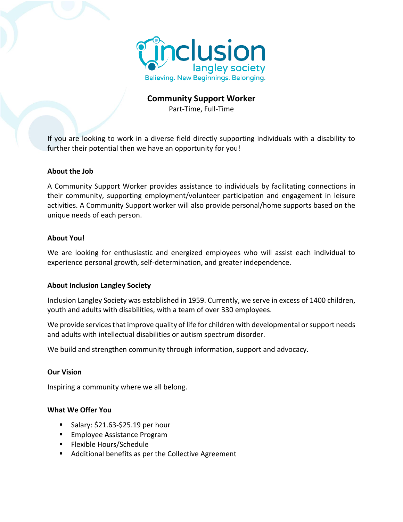

# **Community Support Worker**

Part-Time, Full-Time

If you are looking to work in a diverse field directly supporting individuals with a disability to further their potential then we have an opportunity for you!

#### **About the Job**

A Community Support Worker provides assistance to individuals by facilitating connections in their community, supporting employment/volunteer participation and engagement in leisure activities. A Community Support worker will also provide personal/home supports based on the unique needs of each person.

#### **About You!**

We are looking for enthusiastic and energized employees who will assist each individual to experience personal growth, self-determination, and greater independence.

## **About Inclusion Langley Society**

Inclusion Langley Society was established in 1959. Currently, we serve in excess of 1400 children, youth and adults with disabilities, with a team of over 330 employees.

We provide services that improve quality of life for children with developmental or support needs and adults with intellectual disabilities or autism spectrum disorder.

We build and strengthen community through information, support and advocacy.

#### **Our Vision**

Inspiring a community where we all belong.

### **What We Offer You**

- $\blacksquare$  Salary: \$21.63-\$25.19 per hour
- Employee Assistance Program
- Flexible Hours/Schedule
- Additional benefits as per the Collective Agreement